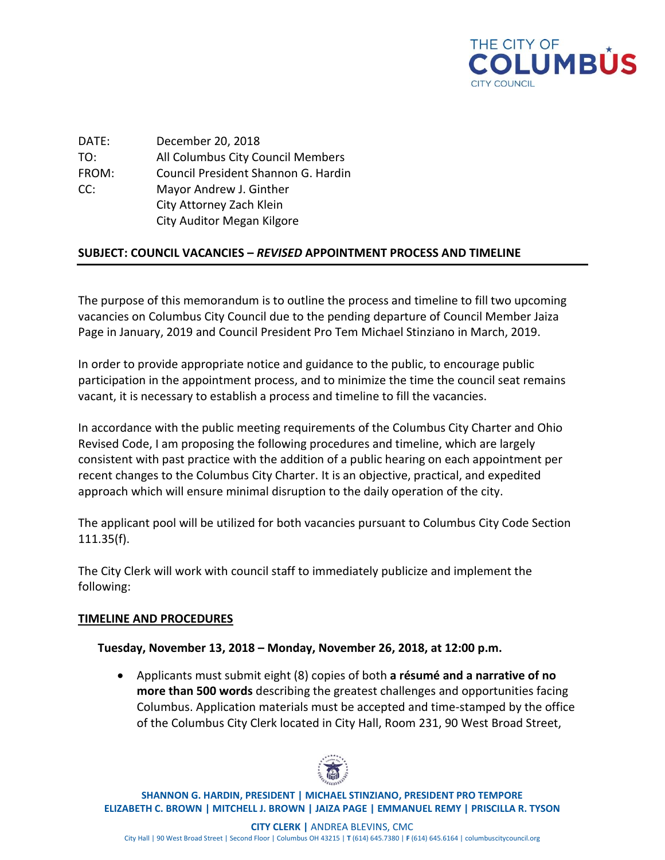

DATE: December 20, 2018 TO: All Columbus City Council Members FROM: Council President Shannon G. Hardin CC: Mayor Andrew J. Ginther City Attorney Zach Klein City Auditor Megan Kilgore

# **SUBJECT: COUNCIL VACANCIES –** *REVISED* **APPOINTMENT PROCESS AND TIMELINE**

The purpose of this memorandum is to outline the process and timeline to fill two upcoming vacancies on Columbus City Council due to the pending departure of Council Member Jaiza Page in January, 2019 and Council President Pro Tem Michael Stinziano in March, 2019.

In order to provide appropriate notice and guidance to the public, to encourage public participation in the appointment process, and to minimize the time the council seat remains vacant, it is necessary to establish a process and timeline to fill the vacancies.

In accordance with the public meeting requirements of the Columbus City Charter and Ohio Revised Code, I am proposing the following procedures and timeline, which are largely consistent with past practice with the addition of a public hearing on each appointment per recent changes to the Columbus City Charter. It is an objective, practical, and expedited approach which will ensure minimal disruption to the daily operation of the city.

The applicant pool will be utilized for both vacancies pursuant to Columbus City Code Section 111.35(f).

The City Clerk will work with council staff to immediately publicize and implement the following:

#### **TIMELINE AND PROCEDURES**

#### **Tuesday, November 13, 2018 – Monday, November 26, 2018, at 12:00 p.m.**

 Applicants must submit eight (8) copies of both **a résumé and a narrative of no more than 500 words** describing the greatest challenges and opportunities facing Columbus. Application materials must be accepted and time-stamped by the office of the Columbus City Clerk located in City Hall, Room 231, 90 West Broad Street,

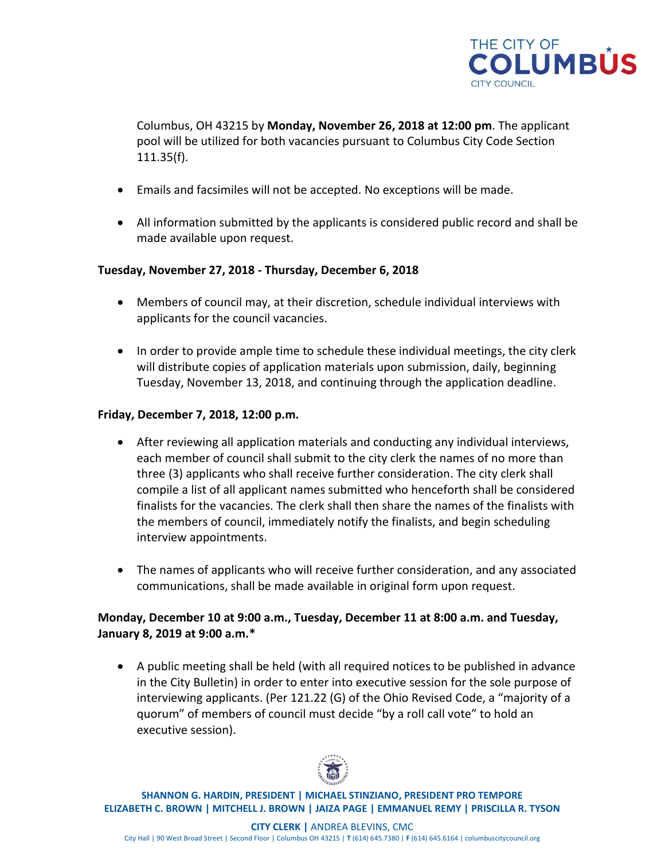

Columbus, OH 43215 by **Monday, November 26, 2018 at 12:00 pm**. The applicant pool will be utilized for both vacancies pursuant to Columbus City Code Section 111.35(f).

- Emails and facsimiles will not be accepted. No exceptions will be made.
- All information submitted by the applicants is considered public record and shall be made available upon request.

## **Tuesday, November 27, 2018 - Thursday, December 6, 2018**

- Members of council may, at their discretion, schedule individual interviews with applicants for the council vacancies.
- In order to provide ample time to schedule these individual meetings, the city clerk will distribute copies of application materials upon submission, daily, beginning Tuesday, November 13, 2018, and continuing through the application deadline.

## **Friday, December 7, 2018, 12:00 p.m.**

- After reviewing all application materials and conducting any individual interviews, each member of council shall submit to the city clerk the names of no more than three (3) applicants who shall receive further consideration. The city clerk shall compile a list of all applicant names submitted who henceforth shall be considered finalists for the vacancies. The clerk shall then share the names of the finalists with the members of council, immediately notify the finalists, and begin scheduling interview appointments.
- The names of applicants who will receive further consideration, and any associated communications, shall be made available in original form upon request.

# **Monday, December 10 at 9:00 a.m., Tuesday, December 11 at 8:00 a.m. and Tuesday, January 8, 2019 at 9:00 a.m.\***

 A public meeting shall be held (with all required notices to be published in advance in the City Bulletin) in order to enter into executive session for the sole purpose of interviewing applicants. (Per 121.22 (G) of the Ohio Revised Code, a "majority of a quorum" of members of council must decide "by a roll call vote" to hold an executive session).

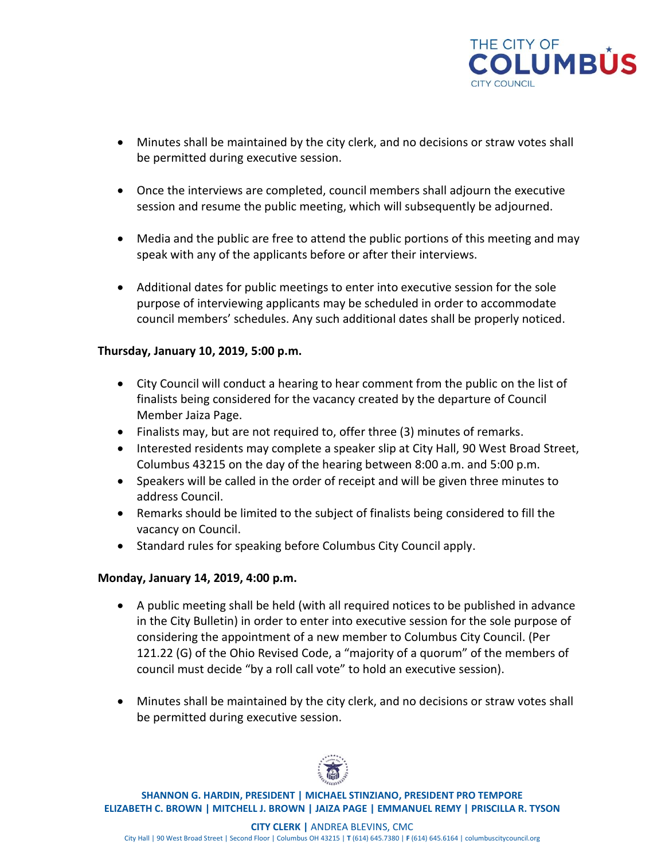

- Minutes shall be maintained by the city clerk, and no decisions or straw votes shall be permitted during executive session.
- Once the interviews are completed, council members shall adjourn the executive session and resume the public meeting, which will subsequently be adjourned.
- Media and the public are free to attend the public portions of this meeting and may speak with any of the applicants before or after their interviews.
- Additional dates for public meetings to enter into executive session for the sole purpose of interviewing applicants may be scheduled in order to accommodate council members' schedules. Any such additional dates shall be properly noticed.

## **Thursday, January 10, 2019, 5:00 p.m.**

- City Council will conduct a hearing to hear comment from the public on the list of finalists being considered for the vacancy created by the departure of Council Member Jaiza Page.
- Finalists may, but are not required to, offer three (3) minutes of remarks.
- Interested residents may complete a speaker slip at City Hall, 90 West Broad Street, Columbus 43215 on the day of the hearing between 8:00 a.m. and 5:00 p.m.
- Speakers will be called in the order of receipt and will be given three minutes to address Council.
- Remarks should be limited to the subject of finalists being considered to fill the vacancy on Council.
- Standard rules for speaking before Columbus City Council apply.

## **Monday, January 14, 2019, 4:00 p.m.**

- A public meeting shall be held (with all required notices to be published in advance in the City Bulletin) in order to enter into executive session for the sole purpose of considering the appointment of a new member to Columbus City Council. (Per 121.22 (G) of the Ohio Revised Code, a "majority of a quorum" of the members of council must decide "by a roll call vote" to hold an executive session).
- Minutes shall be maintained by the city clerk, and no decisions or straw votes shall be permitted during executive session.

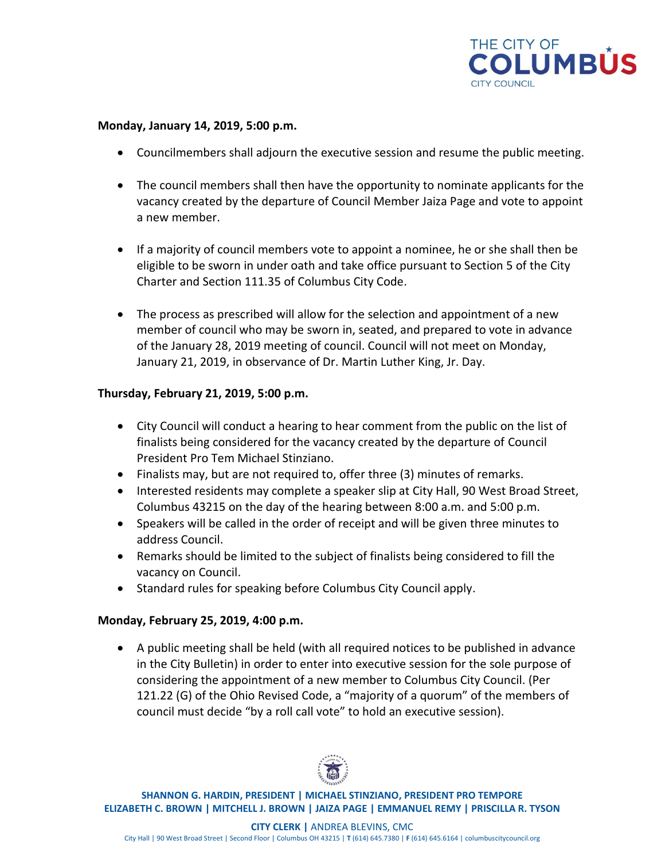

#### **Monday, January 14, 2019, 5:00 p.m.**

- Councilmembers shall adjourn the executive session and resume the public meeting.
- The council members shall then have the opportunity to nominate applicants for the vacancy created by the departure of Council Member Jaiza Page and vote to appoint a new member.
- If a majority of council members vote to appoint a nominee, he or she shall then be eligible to be sworn in under oath and take office pursuant to Section 5 of the City Charter and Section 111.35 of Columbus City Code.
- The process as prescribed will allow for the selection and appointment of a new member of council who may be sworn in, seated, and prepared to vote in advance of the January 28, 2019 meeting of council. Council will not meet on Monday, January 21, 2019, in observance of Dr. Martin Luther King, Jr. Day.

## **Thursday, February 21, 2019, 5:00 p.m.**

- City Council will conduct a hearing to hear comment from the public on the list of finalists being considered for the vacancy created by the departure of Council President Pro Tem Michael Stinziano.
- Finalists may, but are not required to, offer three (3) minutes of remarks.
- Interested residents may complete a speaker slip at City Hall, 90 West Broad Street, Columbus 43215 on the day of the hearing between 8:00 a.m. and 5:00 p.m.
- Speakers will be called in the order of receipt and will be given three minutes to address Council.
- Remarks should be limited to the subject of finalists being considered to fill the vacancy on Council.
- Standard rules for speaking before Columbus City Council apply.

#### **Monday, February 25, 2019, 4:00 p.m.**

 A public meeting shall be held (with all required notices to be published in advance in the City Bulletin) in order to enter into executive session for the sole purpose of considering the appointment of a new member to Columbus City Council. (Per 121.22 (G) of the Ohio Revised Code, a "majority of a quorum" of the members of council must decide "by a roll call vote" to hold an executive session).